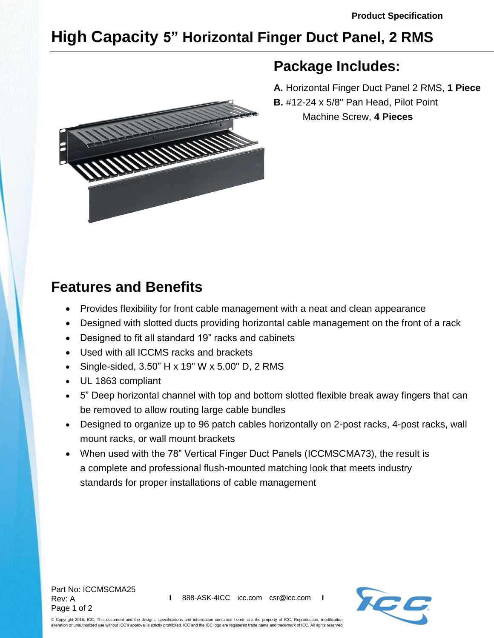## **High Capacity 5" Horizontal Finger Duct Panel, 2 RMS**



## **Package Includes:**

**A.** Horizontal Finger Duct Panel 2 RMS, **1 Piece B.** #12-24 x 5/8" Pan Head, Pilot Point Machine Screw, **4 Pieces**

## **Features and Benefits**

- Provides flexibility for front cable management with a neat and clean appearance
- Designed with slotted ducts providing horizontal cable management on the front of a rack
- Designed to fit all standard 19" racks and cabinets
- Used with all ICCMS racks and brackets
- $\bullet$  Single-sided, 3.50" H x 19" W x 5.00" D, 2 RMS
- UL 1863 compliant
- 5" Deep horizontal channel with top and bottom slotted flexible break away fingers that can be removed to allow routing large cable bundles
- Designed to organize up to 96 patch cables horizontally on 2-post racks, 4-post racks, wall mount racks, or wall mount brackets
- When used with the 78" Vertical Finger Duct Panels [\(ICCMSCMA73\)](http://www.icc.com/p/1984/vertical-cable-management-finger-duct-panel-cover-6w-x-5d-x-78l-2-pack), the result is a complete and professional flush-mounted matching look that meets industry standards for proper installations of cable management

Part No: ICCMSCMA25 Rev: A Page 1 of 2



© Copyright 2016, ICC. This document and the designs, specifications and information contained herein are the property of ICC. Reproduction, modification, alteration or unauthorized use without ICC's approval is strictly prohibited. ICC and the ICC logo are registered trade name and trademark of ICC. All rights reserved.